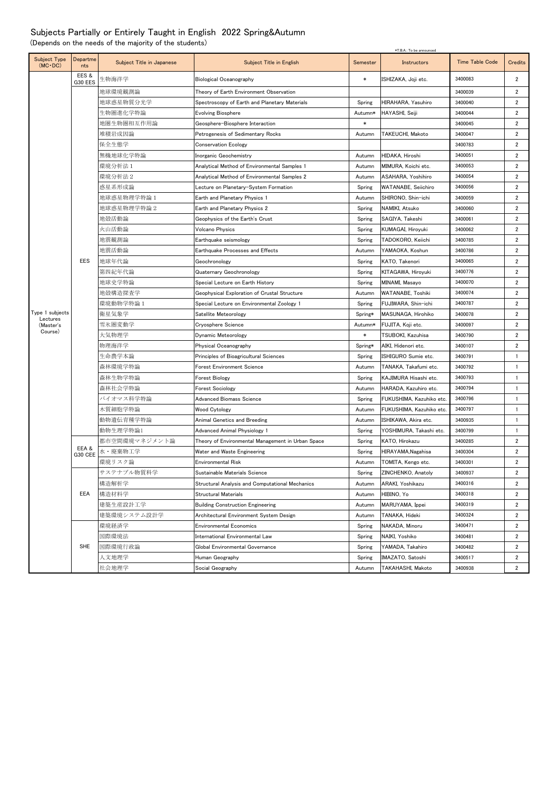## Subjects Partially or Entirely Taught in English 2022 Spring&Autumn

(Depends on the needs of the majority of the students)

|                                 |                 | *T.B.A.: To be announced  |                                                   |          |                         |                        |                |
|---------------------------------|-----------------|---------------------------|---------------------------------------------------|----------|-------------------------|------------------------|----------------|
| Subject Type<br>$(MC \cdot DC)$ | Departme<br>nts | Subject Title in Japanese | Subject Title in English                          | Semester | Instructors             | <b>Time Table Code</b> | Credits        |
|                                 | EES&<br>G30 EES | 生物海洋学                     | <b>Biological Oceanography</b>                    | $\ast$   | ISHIZAKA, Joii etc.     | 3400083                | 2              |
|                                 |                 | 地球環境観測論                   | Theory of Earth Environment Observation           |          |                         | 3400039                | $\overline{2}$ |
|                                 |                 | 地球惑星物質分光学                 | Spectroscopy of Earth and Planetary Materials     | Spring   | HIRAHARA, Yasuhiro      | 3400040                | $\overline{2}$ |
|                                 |                 | 生物圏進化学特論                  | <b>Evolving Biosphere</b>                         | Autumn*  | HAYASHI, Seiji          | 3400044                | $\overline{2}$ |
|                                 |                 | 地圏生物圏相互作用論                | Geosphere-Biosphere Interaction                   | $\ast$   |                         | 3400045                | $\overline{2}$ |
|                                 |                 | 堆積岩成因論                    | Petrogenesis of Sedimentary Rocks                 | Autumn   | TAKEUCHI, Makoto        | 3400047                | $\overline{2}$ |
|                                 |                 | 保全生態学                     | <b>Conservation Ecology</b>                       |          |                         | 3400783                | $\overline{2}$ |
|                                 |                 | 無機地球化学特論                  | Inorganic Geochemistry                            | Autumn   | HIDAKA, Hiroshi         | 3400051                | $\overline{2}$ |
|                                 |                 | 環境分析法 1                   | Analytical Method of Environmental Samples 1      | Autumn   | MIMURA, Koichi etc.     | 3400053                | $\overline{2}$ |
|                                 |                 | 環境分析法 2                   | Analytical Method of Environmental Samples 2      | Autumn   | ASAHARA, Yoshihiro      | 3400054                | 2              |
|                                 |                 | 惑星系形成論                    | Lecture on Planetary-System Formation             | Spring   | WATANABE, Seiichiro     | 3400056                | $\overline{2}$ |
|                                 |                 | 地球惑星物理学特論 1               | Earth and Planetary Physics 1                     | Autumn   | SHIRONO, Shin-ichi      | 3400059                | $\overline{2}$ |
|                                 |                 | 地球惑星物理学特論2                | Earth and Planetary Physics 2                     | Spring   | NAMIKI, Atsuko          | 3400060                | $\overline{2}$ |
|                                 |                 | 地殼活動論                     | Geophysics of the Earth's Crust                   | Spring   | SAGIYA, Takeshi         | 3400061                | $\overline{2}$ |
|                                 |                 | 火山活動論                     | <b>Volcano Physics</b>                            | Spring   | KUMAGAI, Hiroyuki       | 3400062                | $\overline{2}$ |
|                                 |                 | 地震観測論                     | Earthquake seismology                             | Spring   | TADOKORO, Keiichi       | 3400785                | 2              |
|                                 |                 | 地震活動論                     | Earthquake Processes and Effects                  | Autumn   | YAMAOKA, Koshun         | 3400786                | 2              |
|                                 | EES             | 地球年代論                     | Geochronology                                     | Spring   | KATO, Takenori          | 3400065                | 2              |
|                                 |                 | 第四紀年代論                    | Quaternary Geochronology                          | Spring   | KITAGAWA, Hiroyuki      | 3400776                | $\overline{2}$ |
|                                 |                 | 地球史学特論                    | Special Lecture on Earth History                  | Spring   | MINAMI, Masayo          | 3400070                | $\overline{2}$ |
|                                 |                 | 地殼構造探査学                   | Geophysical Exploration of Crustal Structure      | Autumn   | WATANABE, Toshiki       | 3400074                | $\overline{2}$ |
|                                 |                 | 環境動物学特論 1                 | Special Lecture on Environmental Zoology 1        | Spring   | FUJIWARA, Shin-ichi     | 3400787                | 2              |
| Type 1 subjects<br>Lectures     |                 | 衛星気象学                     | Satellite Meteorology                             | Spring*  | MASUNAGA, Hirohiko      | 3400078                | 2              |
| (Master's                       |                 | 雪氷圏変動学                    | Cryosphere Science                                | Autumn*  | FUJITA, Koji etc.       | 3400097                | 2              |
| Course)                         |                 | 大気物理学                     | Dynamic Meteorology                               | $\ast$   | TSUBOKI, Kazuhisa       | 3400790                | 2              |
|                                 |                 | 物理海洋学                     | Physical Oceanography                             | Spring*  | AIKI, Hidenori etc.     | 3400107                | 2              |
|                                 |                 | 生命農学本論                    | Principles of Bioagricultural Sciences            | Spring   | ISHIGURO Sumie etc.     | 3400791                | 1              |
|                                 |                 | 森林環境学特論                   | <b>Forest Environment Science</b>                 | Autumn   | TANAKA, Takafumi etc.   | 3400792                | 1              |
|                                 |                 | 森林生物学特論                   | <b>Forest Biology</b>                             | Spring   | KAJIMURA Hisashi etc.   | 3400793                | -1             |
|                                 |                 | 森林社会学特論                   | <b>Forest Sociology</b>                           | Autumn   | HARADA, Kazuhiro etc.   | 3400794                | $\mathbf{1}$   |
|                                 |                 | バイオマス科学特論                 | <b>Advanced Biomass Science</b>                   | Spring   | FUKUSHIMA, Kazuhiko etc | 3400796                | $\mathbf{1}$   |
|                                 |                 | 木質細胞学特論                   | <b>Wood Cytology</b>                              | Autumn   | FUKUSHIMA, Kazuhiko etc | 3400797                | $\overline{1}$ |
|                                 |                 | 動物遺伝育種学特論                 | Animal Genetics and Breeding                      | Autumn   | ISHIKAWA, Akira etc.    | 3400935                | $\mathbf{1}$   |
|                                 |                 | 動物生理学特論1                  | Advanced Animal Physiology 1                      | Spring   | YOSHIMURA, Takashi etc. | 3400799                | $\overline{1}$ |
|                                 | EEA&<br>G30 CEE | 都市空間環境マネジメント論             | Theory of Environmental Management in Urban Space | Spring   | KATO, Hirokazu          | 3400285                | 2              |
|                                 |                 | 水・廃棄物工学                   | Water and Waste Engineering                       | Spring   | HIRAYAMA, Nagahisa      | 3400304                | $\overline{2}$ |
|                                 |                 | 環境リスク論                    | <b>Environmental Risk</b>                         | Autumn   | TOMITA, Kengo etc.      | 3400301                | $\overline{2}$ |
|                                 | EEA             | サステナブル物質科学                | Sustainable Materials Science                     | Spring   | ZINCHENKO, Anatoly      | 3400937                | $\overline{2}$ |
|                                 |                 | 構造解析学                     | Structural Analysis and Computational Mechanics   | Autumn   | ARAKI, Yoshikazu        | 3400316                | 2              |
|                                 |                 | 構造材料学                     | Structural Materials                              | Autumn   | HIBINO, Yo              | 3400318                | 2              |
|                                 |                 | 建築生産設計工学                  | <b>Building Construction Engineering</b>          | Autumn   | MARUYAMA, Ippei         | 3400319                | 2              |
|                                 |                 | 建築環境システム設計学               | Architectural Environment System Design           | Autumn   | TANAKA, Hideki          | 3400324                | 2              |
|                                 | <b>SHE</b>      | 環境経済学                     | <b>Environmental Economics</b>                    | Spring   | NAKADA, Minoru          | 3400471                | 2              |
|                                 |                 | 国際環境法                     | International Environmental Law                   | Spring   | NAIKI, Yoshiko          | 3400481                | 2              |
|                                 |                 | 国際環境行政論                   | Global Environmental Governance                   | Spring   | YAMADA, Takahiro        | 3400482                | 2              |
|                                 |                 | 人文地理学                     | Human Geography                                   | Spring   | IMAZATO, Satoshi        | 3400517                | 2              |
|                                 |                 | 社会地理学                     | Social Geography                                  | Autumn   | TAKAHASHI, Makoto       | 3400938                | 2              |